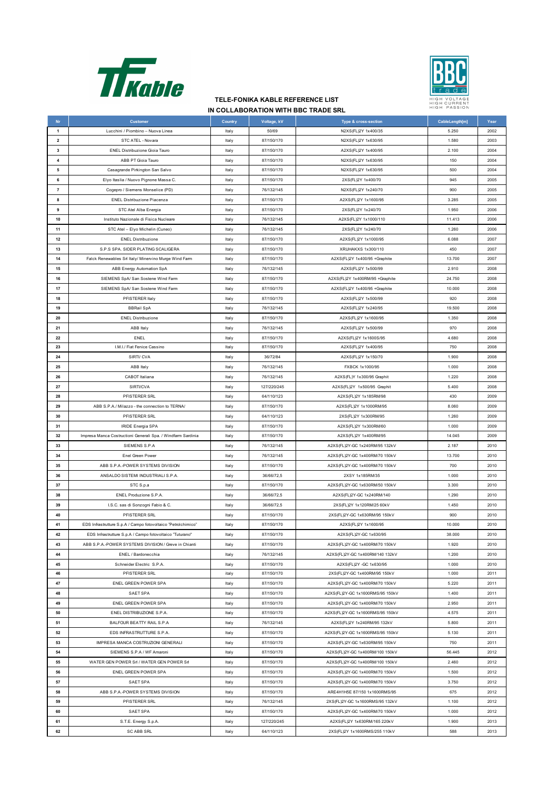



## **TELE-FONIKA KABLE REFERENCE LIST IN COLLABORATION WITH BBC TRADE SRL**

| Nr                      | <b>Customer</b>                                                 | Country | Voltage, kV              | Type & cross-section             | CableLength[m] | Year |
|-------------------------|-----------------------------------------------------------------|---------|--------------------------|----------------------------------|----------------|------|
| $\mathbf{1}$            | Lucchini / Piombino - Nuova Linea                               | Italy   | 50/69                    | N2XS(FL)2Y 1x400/35              | 5.250          | 2002 |
| $\overline{\mathbf{2}}$ | STC ATEL - Novara                                               | Italy   | 87/150/170               | N2XS(FL)2Y 1x630/95              | 1.580          | 2003 |
| 3                       | <b>ENEL Distribuzione Gioia Tauro</b>                           | Italy   | 87/150/170               | A2XS(FL)2Y 1x400/95              | 2.100          | 2004 |
| 4                       | ABB PT Gioia Tauro                                              | Italy   | 87/150/170               | N2XS(FL)2Y 1x630/95              | 150            | 2004 |
| 5                       | Casagrande Pirkington San Salvo                                 | Italy   | 87/150/170               | N2XS(FL)2Y 1x630/95              | 500            | 2004 |
| 6                       | Elyo Itaslia / Nuovo Pignone Massa C.                           | Italy   | 87/150/170               | 2XS(FL)2Y 1x400/70               | 945            | 2005 |
| $\overline{7}$          | Cogepro / Siemens Monselice (PD)                                | Italy   | 76/132/145               | N2XS(FL)2Y 1x240/70              | 900            | 2005 |
| 8                       | <b>ENEL Distribuzione Piacenza</b>                              | Italy   | 87/150/170               | A2XS(FL)2Y 1x1600/95             | 3.285          | 2005 |
| 9                       | STC Atel Alba Energia                                           | Italy   | 87/150/170               | 2XS(FL)2Y 1x240/70               | 1.950          | 2006 |
| 10                      | Instituto Nazionale di Fisica Nucleare                          | Italy   | 76/132/145               | A2XS(FL)2Y 1x1000/110            | 11.413         | 2006 |
| 11                      | STC Atel - Elyo Michelin (Cuneo)                                | Italy   | 76/132/145               | 2XS(FL)2Y 1x240/70               | 1.260          | 2006 |
| 12                      | <b>ENEL Distribuzione</b>                                       | Italy   | 87/150/170               | A2XS(FL)2Y 1x1000/95             | 6.088          | 2007 |
| 13                      | S.P.S SPA. SIDER PLATING SCALIGERA                              | Italy   | 87/150/170               | XRUHAKXS 1x300/110               | 450            | 2007 |
| 14                      | Falck Renewables Srl Italy/ Minervino Murge Wind Farm           | Italy   | 87/150/170               | A2XS(FL)2Y 1x400/95 +Graphite    | 13.700         | 2007 |
| 15                      |                                                                 |         | 76/132/145               | A2XS(FL)2Y 1x500/99              | 2.910          | 2008 |
| 16                      | ABB Energy Automation SpA<br>SIEMENS SpA/ San Sostene Wind Farm | Italy   | 87/150/170               | A2XS(FL)2Y 1x400RM/95 +Graphite  | 24.750         | 2008 |
| 17                      |                                                                 | Italy   | 87/150/170               |                                  | 10.000         | 2008 |
|                         | SIEMENS SpA/ San Sostene Wind Farm                              | Italy   |                          | A2XS(FL)2Y 1x400/95 +Graphite    |                |      |
| 18                      | PFISTERER Italy                                                 | Italy   | 87/150/170               | A2XS(FL)2Y 1x500/99              | 920            | 2008 |
| 19                      | <b>BBRail SpA</b>                                               | Italy   | 76/132/145               | A2XS(FL)2Y 1x240/95              | 19.500         | 2008 |
| 20                      | <b>ENEL Distribuzione</b>                                       | Italy   | 87/150/170               | A2XS(FL)2Y 1x1600/95             | 1.350          | 2008 |
| 21                      | ABB Italy                                                       | Italy   | 76/132/145               | A2XS(FL)2Y 1x500/99              | 970            | 2008 |
| 22                      | ENEL                                                            | Italy   | 87/150/170<br>87/150/170 | A2XS(FL)2Y 1x1600S/95            | 4.680          | 2008 |
| 23                      | I.M.I./ Fiat Fenice Cassino                                     | Italy   |                          | A2XS(FL)2Y 1x400/95              | 750            | 2008 |
| 24                      | SIRTI/ CVA                                                      | Italy   | 36/72/84                 | A2XS(FL)2Y 1x150/70              | 1.900          | 2008 |
| 25                      | <b>ABB Italy</b>                                                | Italy   | 76/132/145               | FXBCK 1x1000/95                  | 1.000          | 2008 |
| 26                      | CABOT Italiana                                                  | Italy   | 76/132/145               | A2XS(FL)Y 1x300/95 Graphit       | 1.220          | 2008 |
| 27                      | SIRTI/CVA                                                       | Italy   | 127/220/245              | A2XS(FL)2Y 1x500/95 Graphit      | 5.400          | 2008 |
| 28                      | PFISTERER SRL                                                   | Italy   | 64/110/123               | A2XS(FL)2Y 1x185RM/98            | 430            | 2009 |
| 29                      | ABB S.P.A./ Milazzo - the connection to TERNA/                  | Italy   | 87/150/170               | A2XS(FL)2Y 1x1000RM/95           | 8.060          | 2009 |
| 30                      | PFISTERER SRL                                                   | Italy   | 64/110/123               | 2XS(FL)2Y 1x300RM/95             | 1.260          | 2009 |
| 31                      | <b>IRIDE Energia SPA</b>                                        | Italy   | 87/150/170               | A2XS(FL)2Y 1x300RM/60            | 1.000          | 2009 |
| 32                      | Impresa Manca Costructioni Generali Spa. / Windfarm Sardinia    | Italy   | 87/150/170               | A2XS(FL)2Y 1x400RM/95            | 14.045         | 2009 |
| 33                      | SIEMENS S.P.A                                                   | Italy   | 76/132/145               | A2XS(FL)2Y-GC 1x240RM/95 132kV   | 2.187          | 2010 |
| 34                      | Enel Green Power                                                | Italy   | 76/132/145               | A2XS(FL)2Y-GC 1x400RM/70 150kV   | 13.700         | 2010 |
| 35                      | ABB S.P.A.-POWER SYSTEMS DIVISION                               | Italy   | 87/150/170               | A2XS(FL)2Y-GC 1x400RM/70 150kV   | 700            | 2010 |
| 36                      | ANSALDO SISTEMI INDUSTRIALI S.P.A.                              | Italy   | 36/66/72,5               | 2XSY 1x185RM/35                  | 1.000          | 2010 |
| 37                      | STC S.p.a                                                       | Italy   | 87/150/170               | A2XS(FL)2Y-GC 1x630RM/50 150kV   | 3.300          | 2010 |
| 38                      | ENEL Produzione S.P.A.                                          | Italy   | 36/66/72,5               | A2XS(FL)2Y-GC 1x240RM/140        | 1.290          | 2010 |
| 39                      | I.S.C. sas di Sonzogni Fabio & C.                               | Italy   | 36/66/72,5               | 2XS(FL)2Y 1x120RM/25 60kV        | 1.450          | 2010 |
| 40                      | PFISTERER SRL                                                   | Italy   | 87/150/170               | 2XS(FL)2Y-GC 1x630RM/95 150kV    | 900            | 2010 |
| 41                      | EDS Infrastrutture S.p.A / Campo fotovoltaico "Petrolchimico"   | Italy   | 87/150/170               | A2XS(FL)2Y 1x1600/95             | 10.000         | 2010 |
| 42                      | EDS Infrastrutture S.p.A / Campo fotovoltaico "Tuturano"        | Italy   | 87/150/170               | A2XS(FL)2Y-GC 1x630/95           | 38.000         | 2010 |
| 43                      | ABB S.P.A.-POWER SYSTEMS DIVISION / Greve in Chianti            | Italy   | 87/150/170               | A2XS(FL)2Y-GC 1x400RM/70 150kV   | 1.920          | 2010 |
| 44                      | ENEL / Bardonecchia                                             | Italy   | 76/132/145               | A2XS(FL)2Y-GC 1x400RM/140 132kV  | 1.200          | 2010 |
| 45                      | Schneider Electric S.P.A.                                       | Italy   | 87/150/170               | A2XS(FL)2Y -GC 1x630/95          | 1.000          | 2010 |
| 46                      | PFISTERER SRL                                                   | italy   | 87/150/170               | 2XS(FL)2Y-GC 1x400RM/95 150kV    | 1.000          | 2011 |
| 47                      | ENEL GREEN POWER SPA                                            | Italy   | 87/150/170               | A2XS(FL)2Y-GC 1x400RM/70 150kV   | 5.220          | 2011 |
| 48                      | SAET SPA                                                        | Italy   | 87/150/170               | A2XS(FL)2Y-GC 1x1600RMS/95 150kV | 1.400          | 2011 |
| 49                      | ENEL GREEN POWER SPA                                            | Italy   | 87/150/170               | A2XS(FL)2Y-GC 1x400RM/70 150kV   | 2.950          | 2011 |
| 50                      | ENEL DISTRIBUZIONE S.P.A.                                       | Italy   | 87/150/170               | A2XS(FL)2Y-GC 1x1600RMS/95 150kV | 4.575          | 2011 |
| 51                      | BALFOUR BEATTY RAIL S.P.A                                       | Italy   | 76/132/145               | A2XS(FL)2Y 1x240RM/95 132kV      | 5.800          | 2011 |
| 52                      | EDS INFRASTRUTTURE S.P.A.                                       | Italy   | 87/150/170               | A2XS(FL)2Y-GC 1x1600RMS/95 150kV | 5.130          | 2011 |
| 53                      | IMPRESA MANCA COSTRUZIONI GENERALI                              | Italy   | 87/150/170               | A2XS(FL)2Y-GC 1x630RM/95 150kV   | 750            | 2011 |
| 54                      | SIEMENS S.P.A / WF Amaroni                                      | Italy   | 87/150/170               | A2XS(FL)2Y-GC 1x400RM/100 150kV  | 56.445         | 2012 |
| 55                      | WATER GEN POWER Srl / WATER GEN POWER Srl                       | Italy   | 87/150/170               | A2XS(FL)2Y-GC 1x400RM/100 150kV  | 2.460          | 2012 |
| 56                      | ENEL GREEN POWER SPA                                            | Italy   | 87/150/170               | A2XS(FL)2Y-GC 1x400RM/70 150kV   | 1.500          | 2012 |
| 57                      | SAET SPA                                                        | Italy   | 87/150/170               | A2XS(FL)2Y-GC 1x400RM/70 150kV   | 3.750          | 2012 |
| 58                      | ABB S.P.A.-POWER SYSTEMS DIVISION                               | Italy   | 87/150/170               | ARE4H1H5E 87/150 1x1600RMS/95    | 675            | 2012 |
| 59                      | PFISTERER SRL                                                   | Italy   | 76/132/145               | 2XS(FL)2Y-GC 1x1600RMS/95 132kV  | 1.100          | 2012 |
| 60                      | SAET SPA                                                        | Italy   | 87/150/170               | A2XS(FL)2Y-GC 1x400RM/70 150kV   | 1.000          | 2012 |
| 61                      | S.T.E. Energy S.p.A.                                            | Italy   | 127/220/245              | A2XS(FL)2Y 1x630RM/165 220kV     | 1.900          | 2013 |
| 62                      | <b>SC ABB SRL</b>                                               | Italy   | 64/110/123               | 2XS(FL)2Y 1x1600RMS/255 110kV    | 588            | 2013 |